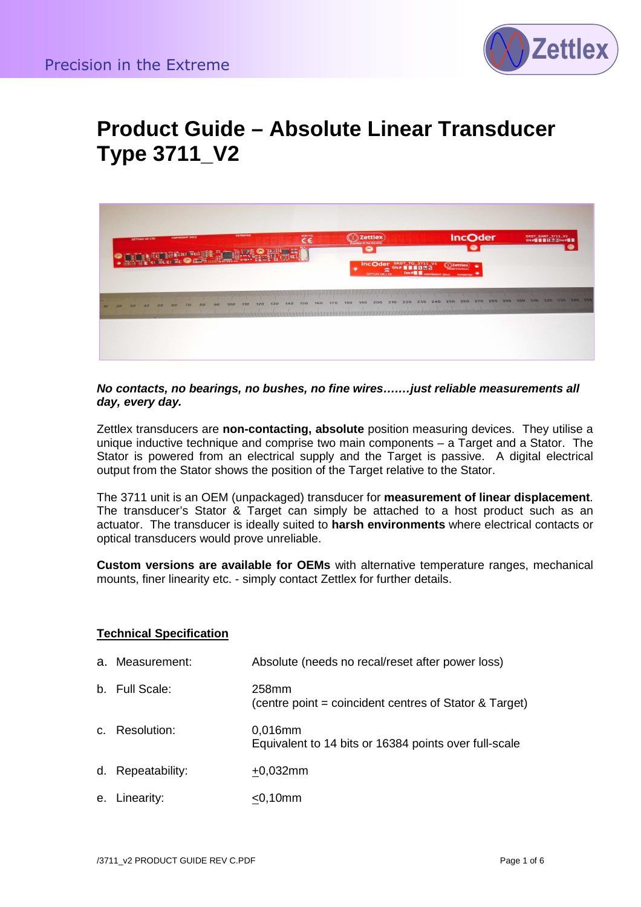

# **Product Guide – Absolute Linear Transducer Type 3711\_V2**



**No contacts, no bearings, no bushes, no fine wires….…just reliable measurements all day, every day.**

Zettlex transducers are **non-contacting, absolute** position measuring devices. They utilise a unique inductive technique and comprise two main components – a Target and a Stator. The Stator is powered from an electrical supply and the Target is passive. A digital electrical output from the Stator shows the position of the Target relative to the Stator.

The 3711 unit is an OEM (unpackaged) transducer for **measurement of linear displacement**. The transducer's Stator & Target can simply be attached to a host product such as an actuator. The transducer is ideally suited to **harsh environments** where electrical contacts or optical transducers would prove unreliable.

**Custom versions are available for OEMs** with alternative temperature ranges, mechanical mounts, finer linearity etc. - simply contact Zettlex for further details.

### **Technical Specification**

- a. Measurement: Absolute (needs no recal/reset after power loss)
- b. Full Scale: 258mm (centre point = coincident centres of Stator & Target)
- c. Resolution: 0,016mm Equivalent to 14 bits or 16384 points over full-scale
- d. Repeatability:  $+0,032$ mm
- e. Linearity: <0,10mm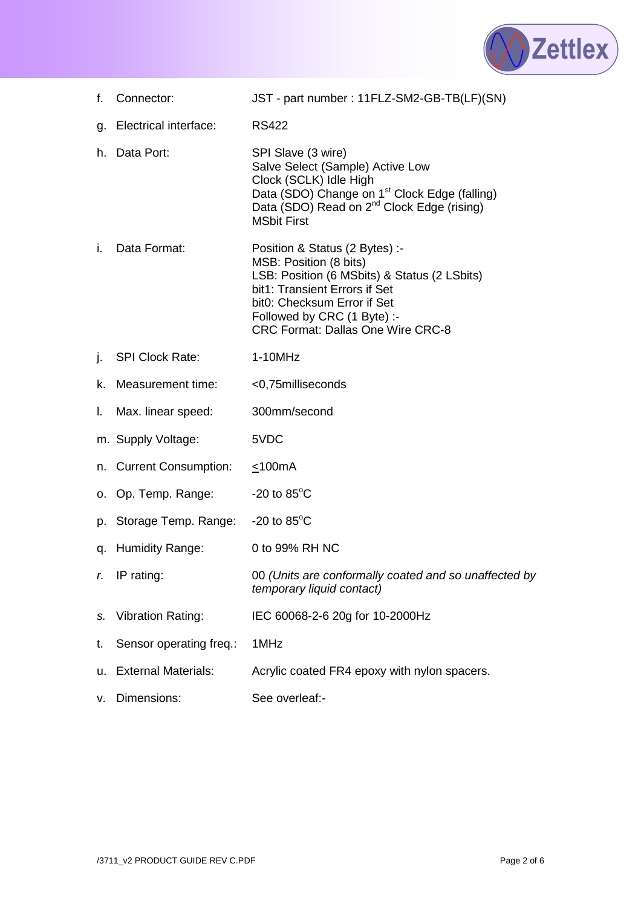

- f. Connector: JST part number : 11FLZ-SM2-GB-TB(LF)(SN)
- g. Electrical interface: RS422 I
- h. Data Port: SPI Slave (3 wire) Salve Select (Sample) Active Low Clock (SCLK) Idle High Data (SDO) Change on 1<sup>st</sup> Clock Edge (falling) Data (SDO) Read on 2<sup>nd</sup> Clock Edge (rising) MSbit First
- i. Data Format: Position & Status (2 Bytes) :- MSB: Position (8 bits) LSB: Position (6 MSbits) & Status (2 LSbits) bit1: Transient Errors if Set bit0: Checksum Error if Set Followed by CRC (1 Byte) :- CRC Format: Dallas One Wire CRC-8
- j. SPI Clock Rate: 1-10MHz
- k. Measurement time: <0,75milliseconds
- l. Max. linear speed: 300mm/second
- m. Supply Voltage: 5VDC
- n. Current Consumption: <100mA
- o. Op. Temp. Range:  $-20$  to  $85^{\circ}$ C
- p. Storage Temp. Range: -20 to 85°C
- q. Humidity Range: 0 to 99% RH NC
- r. IP rating: 00 (Units are conformally coated and so unaffected by temporary liquid contact)
- s. Vibration Rating: IEC 60068-2-6 20g for 10-2000Hz
- t. Sensor operating freq.: 1MHz
- u. External Materials: Acrylic coated FR4 epoxy with nylon spacers.
- v. Dimensions: See overleaf:-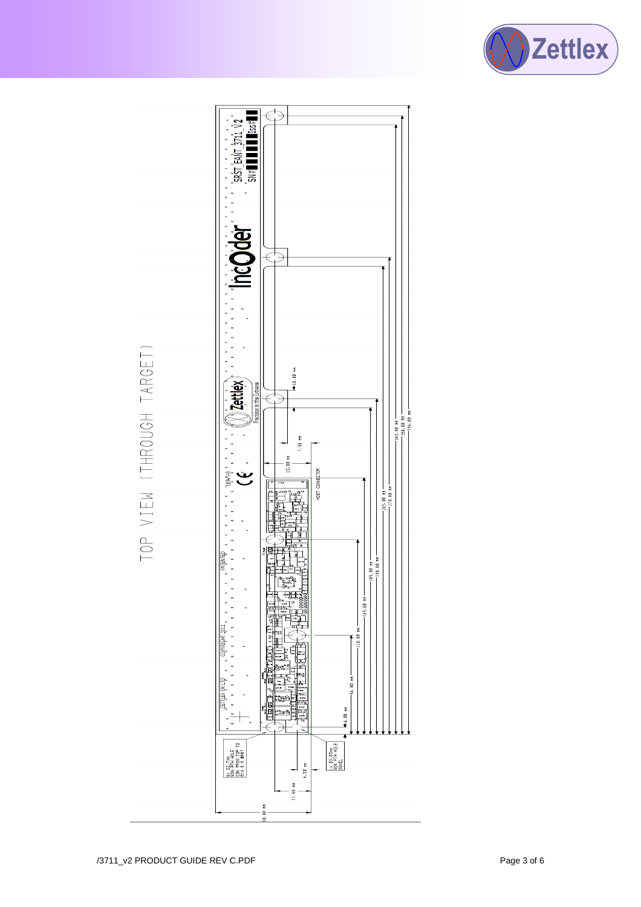



# TOP VIEW (THROUGH TARGET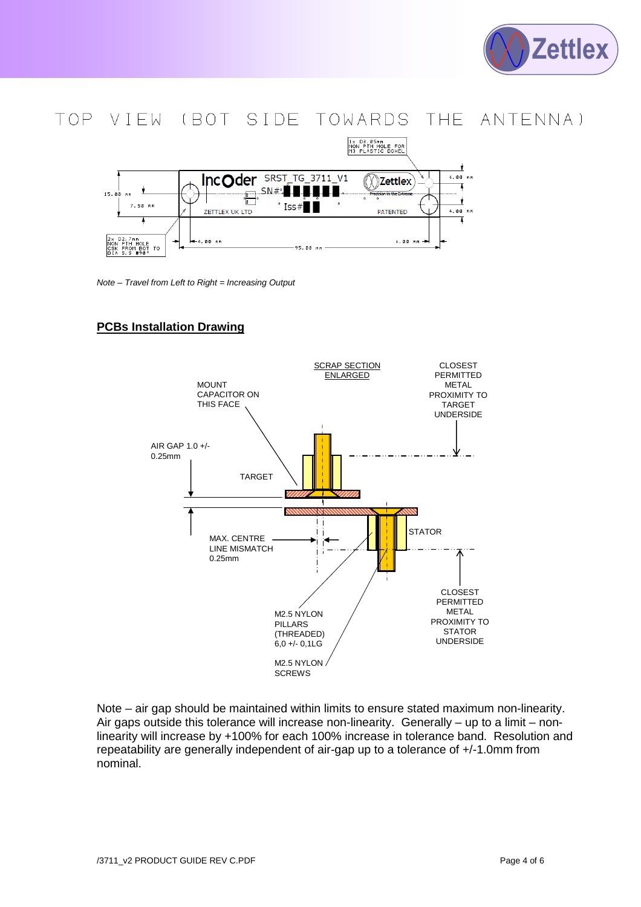

## TOP VIEW (BOT SIDE TOWARDS THE ANTENNA)



Note – Travel from Left to Right = Increasing Output

### **PCBs Installation Drawing**



Note – air gap should be maintained within limits to ensure stated maximum non-linearity. Air gaps outside this tolerance will increase non-linearity. Generally – up to a limit – nonlinearity will increase by +100% for each 100% increase in tolerance band. Resolution and repeatability are generally independent of air-gap up to a tolerance of +/-1.0mm from nominal.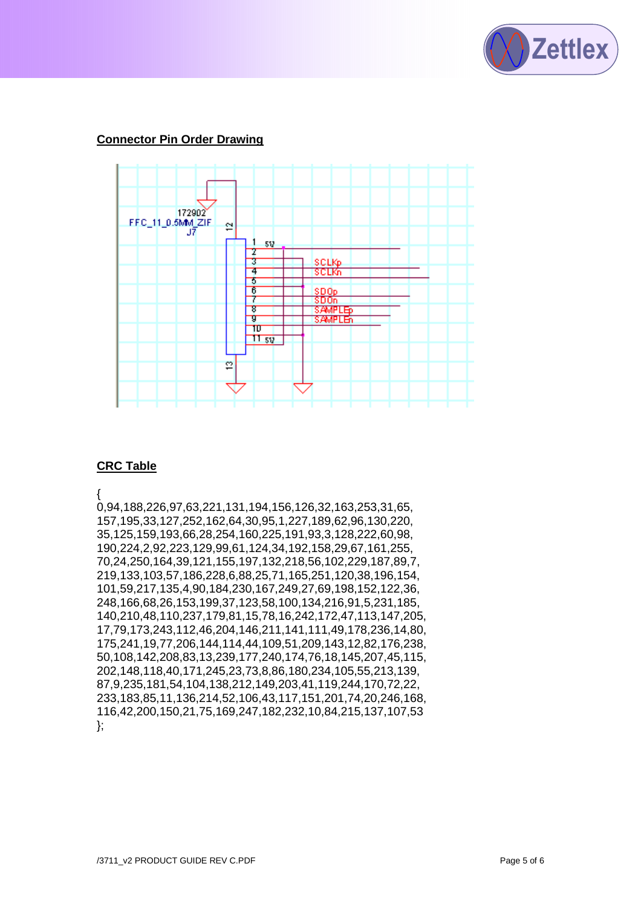

### **Connector Pin Order Drawing**



### **CRC Table**

{

0,94,188,226,97,63,221,131,194,156,126,32,163,253,31,65, 157,195,33,127,252,162,64,30,95,1,227,189,62,96,130,220, 35,125,159,193,66,28,254,160,225,191,93,3,128,222,60,98, 190,224,2,92,223,129,99,61,124,34,192,158,29,67,161,255, 70,24,250,164,39,121,155,197,132,218,56,102,229,187,89,7, 219,133,103,57,186,228,6,88,25,71,165,251,120,38,196,154, 101,59,217,135,4,90,184,230,167,249,27,69,198,152,122,36, 248,166,68,26,153,199,37,123,58,100,134,216,91,5,231,185, 140,210,48,110,237,179,81,15,78,16,242,172,47,113,147,205, 17,79,173,243,112,46,204,146,211,141,111,49,178,236,14,80, 175,241,19,77,206,144,114,44,109,51,209,143,12,82,176,238, 50,108,142,208,83,13,239,177,240,174,76,18,145,207,45,115, 202,148,118,40,171,245,23,73,8,86,180,234,105,55,213,139, 87,9,235,181,54,104,138,212,149,203,41,119,244,170,72,22, 233,183,85,11,136,214,52,106,43,117,151,201,74,20,246,168, 116,42,200,150,21,75,169,247,182,232,10,84,215,137,107,53 };